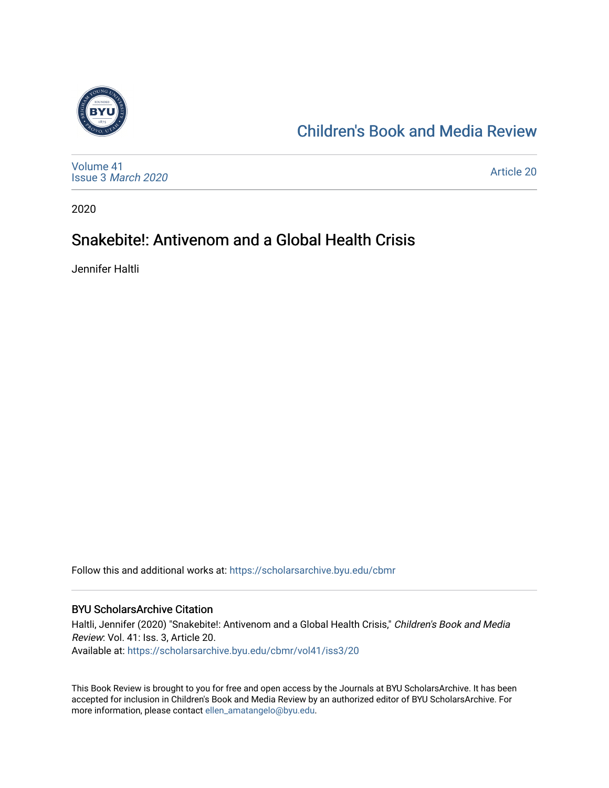

# [Children's Book and Media Review](https://scholarsarchive.byu.edu/cbmr)

[Volume 41](https://scholarsarchive.byu.edu/cbmr/vol41) Issue 3 [March 2020](https://scholarsarchive.byu.edu/cbmr/vol41/iss3)

[Article 20](https://scholarsarchive.byu.edu/cbmr/vol41/iss3/20) 

2020

# Snakebite!: Antivenom and a Global Health Crisis

Jennifer Haltli

Follow this and additional works at: [https://scholarsarchive.byu.edu/cbmr](https://scholarsarchive.byu.edu/cbmr?utm_source=scholarsarchive.byu.edu%2Fcbmr%2Fvol41%2Fiss3%2F20&utm_medium=PDF&utm_campaign=PDFCoverPages) 

#### BYU ScholarsArchive Citation

Haltli, Jennifer (2020) "Snakebite!: Antivenom and a Global Health Crisis," Children's Book and Media Review: Vol. 41: Iss. 3, Article 20. Available at: [https://scholarsarchive.byu.edu/cbmr/vol41/iss3/20](https://scholarsarchive.byu.edu/cbmr/vol41/iss3/20?utm_source=scholarsarchive.byu.edu%2Fcbmr%2Fvol41%2Fiss3%2F20&utm_medium=PDF&utm_campaign=PDFCoverPages)

This Book Review is brought to you for free and open access by the Journals at BYU ScholarsArchive. It has been accepted for inclusion in Children's Book and Media Review by an authorized editor of BYU ScholarsArchive. For more information, please contact [ellen\\_amatangelo@byu.edu.](mailto:ellen_amatangelo@byu.edu)